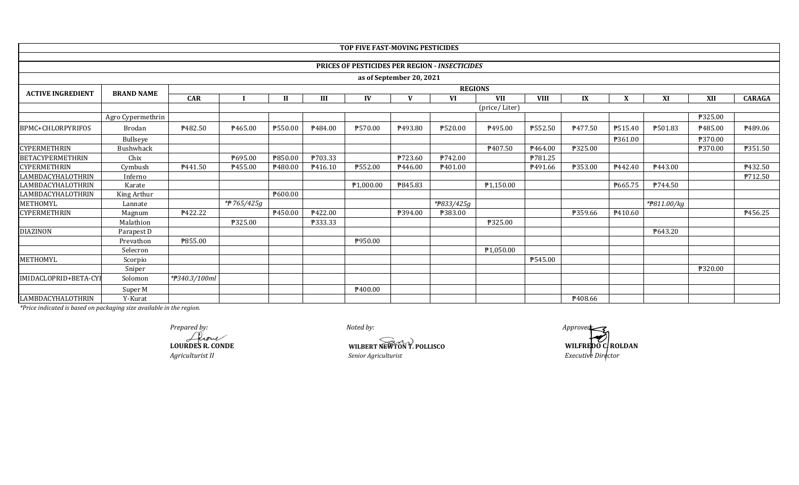|                          |                   |               |               |              |         | TOP FIVE FAST-MOVING PESTICIDES |                          |                                                |            |             |         |         |                          |         |               |  |
|--------------------------|-------------------|---------------|---------------|--------------|---------|---------------------------------|--------------------------|------------------------------------------------|------------|-------------|---------|---------|--------------------------|---------|---------------|--|
|                          |                   |               |               |              |         |                                 |                          |                                                |            |             |         |         |                          |         |               |  |
|                          |                   |               |               |              |         |                                 |                          | PRICES OF PESTICIDES PER REGION - INSECTICIDES |            |             |         |         |                          |         |               |  |
|                          |                   |               |               |              |         |                                 | as of September 20, 2021 |                                                |            |             |         |         |                          |         |               |  |
|                          |                   |               |               |              |         |                                 |                          | <b>REGIONS</b>                                 |            |             |         |         |                          |         |               |  |
| <b>ACTIVE INGREDIENT</b> | <b>BRAND NAME</b> | <b>CAR</b>    |               | $\mathbf{I}$ | III     | IV                              | $\mathbf{V}$             | <b>VI</b>                                      | <b>VII</b> | <b>VIII</b> | IX      | X       | XI                       | XII     | <b>CARAGA</b> |  |
|                          |                   |               | (price/Liter) |              |         |                                 |                          |                                                |            |             |         |         |                          |         |               |  |
|                          | Agro Cypermethrin |               |               |              |         |                                 |                          |                                                |            |             |         |         |                          | ₱325.00 |               |  |
| BPMC+CHLORPYRIFOS        | Brodan            | ₱482.50       | ₱465.00       | ₱550.00      | P484.00 | ₱570.00                         | P493.80                  | ₱520.00                                        | P495.00    | ₱552.50     | P477.50 | P515.40 | ₱501.83                  | ₱485.00 | ₱489.06       |  |
|                          | Bullseye          |               |               |              |         |                                 |                          |                                                |            |             |         | ₱361.00 |                          | ₱370.00 |               |  |
| <b>CYPERMETHRIN</b>      | <b>Bushwhack</b>  |               |               |              |         |                                 |                          |                                                | ₱407.50    | P464.00     | ₱325.00 |         |                          | ₱370.00 | ₱351.50       |  |
| BETACYPERMETHRIN         | Chix              |               | ₱695.00       | ₱850.00      | P703.33 |                                 | ₱723.60                  | <b>P742.00</b>                                 |            | P781.25     |         |         |                          |         |               |  |
| <b>CYPERMETHRIN</b>      | Cymbush           | P441.50       | P455.00       | P480.00      | P416.10 | ₱552.00                         | P446.00                  | P <sub>401.00</sub>                            |            | P491.66     | P353.00 | P442.40 | P443.00                  |         | P432.50       |  |
| LAMBDACYHALOTHRIN        | Inferno           |               |               |              |         |                                 |                          |                                                |            |             |         |         |                          |         | P712.50       |  |
| LAMBDACYHALOTHRIN        | Karate            |               |               |              |         | ₱1,000.00                       | ₱845.83                  |                                                | P1,150.00  |             |         | ₱665.75 | P744.50                  |         |               |  |
| LAMBDACYHALOTHRIN        | King Arthur       |               |               | P600.00      |         |                                 |                          |                                                |            |             |         |         |                          |         |               |  |
| METHOMYL                 | Lannate           |               | *#765/425g    |              |         |                                 |                          | * <del>P</del> 833/425g                        |            |             |         |         | * <del>P</del> 811.00/kg |         |               |  |
| <b>CYPERMETHRIN</b>      | Magnum            | ₱422.22       |               | P450.00      | ₱422.00 |                                 | ₱394.00                  | P383.00                                        |            |             | ₱359.66 | P410.60 |                          |         | P456.25       |  |
|                          | Malathion         |               | ₱325.00       |              | P333.33 |                                 |                          |                                                | ₱325.00    |             |         |         |                          |         |               |  |
| <b>DIAZINON</b>          | Parapest D        |               |               |              |         |                                 |                          |                                                |            |             |         |         | ₱643.20                  |         |               |  |
|                          | Prevathon         | ₱855.00       |               |              |         | ₱950.00                         |                          |                                                |            |             |         |         |                          |         |               |  |
|                          | Selecron          |               |               |              |         |                                 |                          |                                                | ₱1,050.00  |             |         |         |                          |         |               |  |
| METHOMYL                 | Scorpio           |               |               |              |         |                                 |                          |                                                |            | ₱545.00     |         |         |                          |         |               |  |
|                          | Sniper            |               |               |              |         |                                 |                          |                                                |            |             |         |         |                          | ₱320.00 |               |  |
| IMIDACLOPRID+BETA-CYI    | Solomon           | *#340.3/100ml |               |              |         |                                 |                          |                                                |            |             |         |         |                          |         |               |  |
|                          | Super M           |               |               |              |         | P400.00                         |                          |                                                |            |             |         |         |                          |         |               |  |
| LAMBDACYHALOTHRIN        | Y-Kurat           |               |               |              |         |                                 |                          |                                                |            |             | P408.66 |         |                          |         |               |  |

*Prepared by: Approved:*

**LOURDES R. CONDE** *Agriculturist II*

**WILBERT NEWTON T. POLLISCO** 

**SENIOR IN SERIOR IN SERIOR IN SERIOR IN SERIOR SERIOR FOR EXECUTIVE DIRECTOR SERIOR FOR EXECUTIVE DIRECTOR SERIOR SERIOR SERIOR EXECUTIVE DIRECTOR SERIOR SERIOR SERIOR SERIOR SERIOR SERIOR SERIOR SERIOR SERIOR SERIOR SERI**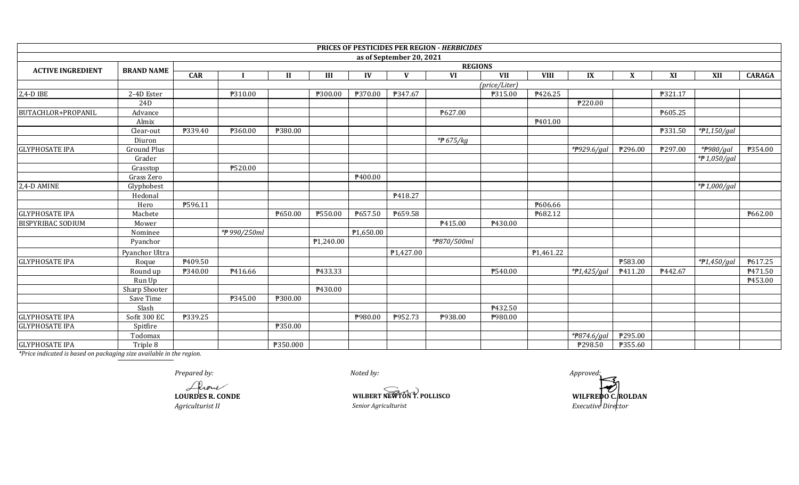|                           |                    |            |                |              |           |           |                          | PRICES OF PESTICIDES PER REGION - HERBICIDES |               |             |                |                |         |                   |                |
|---------------------------|--------------------|------------|----------------|--------------|-----------|-----------|--------------------------|----------------------------------------------|---------------|-------------|----------------|----------------|---------|-------------------|----------------|
|                           |                    |            |                |              |           |           | as of September 20, 2021 |                                              |               |             |                |                |         |                   |                |
| <b>ACTIVE INGREDIENT</b>  | <b>BRAND NAME</b>  |            | <b>REGIONS</b> |              |           |           |                          |                                              |               |             |                |                |         |                   |                |
|                           |                    | <b>CAR</b> |                | $\mathbf{I}$ | III       | IV        | V                        | <b>VI</b>                                    | <b>VII</b>    | <b>VIII</b> | IX             | X              | XI      | XII               | <b>CARAGA</b>  |
|                           |                    |            |                |              |           |           |                          |                                              | (price/Liter) |             |                |                |         |                   |                |
| 2,4-D IBE                 | 2-4D Ester         |            | ₱310.00        |              | ₱300.00   | ₱370.00   | ₱347.67                  |                                              | P315.00       | P426.25     |                |                | ₱321.17 |                   |                |
|                           | 24D                |            |                |              |           |           |                          |                                              |               |             | ₱220.00        |                |         |                   |                |
| <b>BUTACHLOR+PROPANIL</b> | Advance            |            |                |              |           |           |                          | P627.00                                      |               |             |                |                | ₱605.25 |                   |                |
|                           | Almix              |            |                |              |           |           |                          |                                              |               | P401.00     |                |                |         |                   |                |
|                           | Clear-out          | P339.40    | ₱360.00        | ₱380.00      |           |           |                          |                                              |               |             |                |                | ₱331.50 | $*P1,150/gal$     |                |
|                           | Diuron             |            |                |              |           |           |                          | * <del>P</del> 675/kg                        |               |             |                |                |         |                   |                |
| <b>GLYPHOSATE IPA</b>     | <b>Ground Plus</b> |            |                |              |           |           |                          |                                              |               |             | *P929.6/gal    | P296.00        | ₱297.00 | *#980/gal         | <b>P354.00</b> |
|                           | Grader             |            |                |              |           |           |                          |                                              |               |             |                |                |         | * $f{P}1,050/gal$ |                |
|                           | Grasstop           |            | ₱520.00        |              |           |           |                          |                                              |               |             |                |                |         |                   |                |
|                           | Grass Zero         |            |                |              |           | P400.00   |                          |                                              |               |             |                |                |         |                   |                |
| 2,4-D AMINE               | Glyphobest         |            |                |              |           |           |                          |                                              |               |             |                |                |         | * $#1,000/gal$    |                |
|                           | Hedonal            |            |                |              |           |           | P418.27                  |                                              |               |             |                |                |         |                   |                |
|                           | Hero               | P596.11    |                |              |           |           |                          |                                              |               | P606.66     |                |                |         |                   |                |
| <b>GLYPHOSATE IPA</b>     | Machete            |            |                | P650.00      | ₱550.00   | P657.50   | ₱659.58                  |                                              |               | P682.12     |                |                |         |                   | ₱662.00        |
| <b>BISPYRIBAC SODIUM</b>  | Mower              |            |                |              |           |           |                          | P415.00                                      | P430.00       |             |                |                |         |                   |                |
|                           | Nominee            |            | *₱990/250ml    |              |           | ₱1,650.00 |                          |                                              |               |             |                |                |         |                   |                |
|                           | Pyanchor           |            |                |              | ₱1,240.00 |           |                          | *#870/500ml                                  |               |             |                |                |         |                   |                |
|                           | Pyanchor Ultra     |            |                |              |           |           | P1,427.00                |                                              |               | P1,461.22   |                |                |         |                   |                |
| <b>GLYPHOSATE IPA</b>     | Roque              | P409.50    |                |              |           |           |                          |                                              |               |             |                | ₱583.00        |         | $*P1,450/gal$     | P617.25        |
|                           | Round up           | ₱340.00    | P416.66        |              | P433.33   |           |                          |                                              | P540.00       |             | * $P1,425/gal$ | P411.20        | P442.67 |                   | P471.50        |
|                           | Run Up             |            |                |              |           |           |                          |                                              |               |             |                |                |         |                   | ₱453.00        |
|                           | Sharp Shooter      |            |                |              | P430.00   |           |                          |                                              |               |             |                |                |         |                   |                |
|                           | Save Time          |            | ₱345.00        | ₱300.00      |           |           |                          |                                              |               |             |                |                |         |                   |                |
|                           | Slash              |            |                |              |           |           |                          |                                              | P432.50       |             |                |                |         |                   |                |
| <b>GLYPHOSATE IPA</b>     | Sofit 300 EC       | ₱339.25    |                |              |           | P980.00   | ₱952.73                  | ₱938.00                                      | P980.00       |             |                |                |         |                   |                |
| <b>GLYPHOSATE IPA</b>     | Spitfire           |            |                | ₱350.00      |           |           |                          |                                              |               |             |                |                |         |                   |                |
|                           | Todomax            |            |                |              |           |           |                          |                                              |               |             | *P874.6/gal    | ₱295.00        |         |                   |                |
| <b>GLYPHOSATE IPA</b>     | Triple 8           |            |                | ₱350.000     |           |           |                          |                                              |               |             | ₱298.50        | <b>P355.60</b> |         |                   |                |

**LOURDES R. CONDE**

*Agriculturist II Senior Agriculturist* 

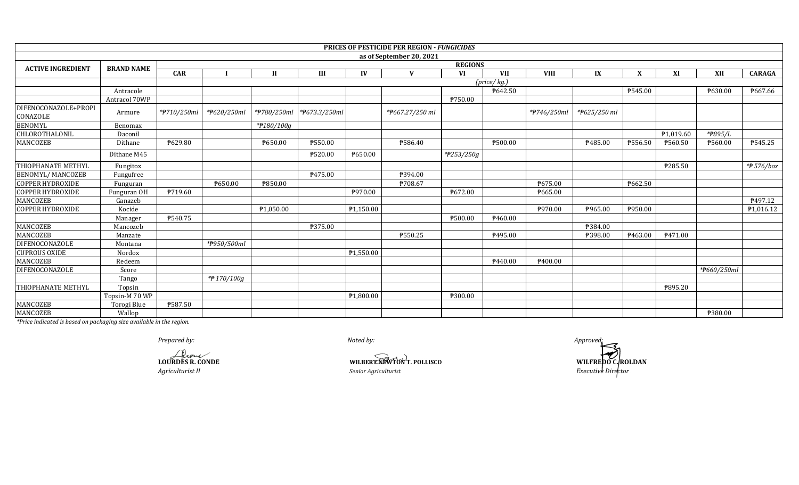|                                  |                   |                                                |                |              |                            |           | PRICES OF PESTICIDE PER REGION - FUNGICIDES |            |                            |             |              |         |           |                |                |  |
|----------------------------------|-------------------|------------------------------------------------|----------------|--------------|----------------------------|-----------|---------------------------------------------|------------|----------------------------|-------------|--------------|---------|-----------|----------------|----------------|--|
|                                  |                   |                                                |                |              |                            |           | as of September 20, 2021                    |            |                            |             |              |         |           |                |                |  |
| <b>ACTIVE INGREDIENT</b>         | <b>BRAND NAME</b> |                                                | <b>REGIONS</b> |              |                            |           |                                             |            |                            |             |              |         |           |                |                |  |
|                                  |                   | <b>CAR</b>                                     |                | $\mathbf{I}$ | III                        | IV        | $\mathbf{V}$                                | VI         | <b>VII</b>                 | <b>VIII</b> | IX           | X       | XI        | XII            | <b>CARAGA</b>  |  |
|                                  |                   |                                                |                |              |                            |           |                                             |            | $(\text{price}/\text{kg})$ |             |              |         |           |                |                |  |
|                                  | Antracole         |                                                |                |              |                            |           |                                             |            | P642.50                    |             |              | P545.00 |           | ₱630.00        | ₱667.66        |  |
|                                  | Antracol 70WP     |                                                |                |              |                            |           |                                             | ₱750.00    |                            |             |              |         |           |                |                |  |
| DIFENOCONAZOLE+PROPI<br>CONAZOLE | Armure            | *#710/250ml                                    | *P620/250ml    |              | *#780/250ml  *#673.3/250ml |           | *P667.27/250 ml                             |            |                            | *#746/250ml | *P625/250 ml |         |           |                |                |  |
| <b>BENOMYL</b>                   | Benomax           |                                                |                | *#180/100g   |                            |           |                                             |            |                            |             |              |         |           |                |                |  |
| CHLOROTHALONIL                   | Daconi            |                                                |                |              |                            |           |                                             |            |                            |             |              |         | P1,019.60 | *P895/L        |                |  |
| MANCOZEB                         | Dithane           | ₱629.80                                        |                | P650.00      | <b>P550.00</b>             |           | <b>P586.40</b>                              |            | ₱500.00                    |             | P485.00      | P556.50 | P560.50   | <b>P560.00</b> | <b>P545.25</b> |  |
|                                  | Dithane M45       |                                                |                |              | ₱520.00                    | P650.00   |                                             | *#253/250g |                            |             |              |         |           |                |                |  |
| THIOPHANATE METHYL               | Fungitox          |                                                |                |              |                            |           |                                             |            |                            |             |              |         | ₱285.50   |                | $*$ #576/box   |  |
| <b>BENOMYL/ MANCOZEB</b>         | Fungufree         |                                                |                |              | P475.00                    |           | P394.00                                     |            |                            |             |              |         |           |                |                |  |
| <b>COPPER HYDROXIDE</b>          | Funguran          |                                                | ₱650.00        | ₱850.00      |                            |           | ₱708.67                                     |            |                            | ₱675.00     |              | ₱662.50 |           |                |                |  |
| <b>COPPER HYDROXIDE</b>          | Funguran OH       | P719.60                                        |                |              |                            | ₱970.00   |                                             | ₱672.00    |                            | ₱665.00     |              |         |           |                |                |  |
| MANCOZEB                         | Ganazeb           |                                                |                |              |                            |           |                                             |            |                            |             |              |         |           |                | P497.12        |  |
| <b>COPPER HYDROXIDE</b>          | Kocide            |                                                |                | P1,050.00    |                            | P1,150.00 |                                             |            |                            | ₱970.00     | P965.00      | ₱950.00 |           |                | P1,016.12      |  |
|                                  | Manager           | ₱540.75                                        |                |              |                            |           |                                             | ₱500.00    | ₹460.00                    |             |              |         |           |                |                |  |
| MANCOZEB                         | Mancozeb          |                                                |                |              | ₱375.00                    |           |                                             |            |                            |             | ₱384.00      |         |           |                |                |  |
| <b>MANCOZEB</b>                  | Manzate           |                                                |                |              |                            |           | ₱550.25                                     |            | ₱495.00                    |             | ₱398.00      | P463.00 | P471.00   |                |                |  |
| <b>DIFENOCONAZOLE</b>            | Montana           |                                                | *#950/500ml    |              |                            |           |                                             |            |                            |             |              |         |           |                |                |  |
| <b>CUPROUS OXIDE</b>             | Nordox            |                                                |                |              |                            | P1,550.00 |                                             |            |                            |             |              |         |           |                |                |  |
| MANCOZEB                         | Redeem            |                                                |                |              |                            |           |                                             |            | P440.00                    | P400.00     |              |         |           |                |                |  |
| <b>DIFENOCONAZOLE</b>            | Score             |                                                |                |              |                            |           |                                             |            |                            |             |              |         |           | *#660/250ml    |                |  |
|                                  | Tango             |                                                | *P170/100g     |              |                            |           |                                             |            |                            |             |              |         |           |                |                |  |
| THIOPHANATE METHYL               | Topsin            |                                                |                |              |                            |           |                                             |            |                            |             |              |         | ₱895.20   |                |                |  |
|                                  | Topsin-M 70 WP    |                                                |                |              |                            | P1,800.00 |                                             | ₱300.00    |                            |             |              |         |           |                |                |  |
| <b>MANCOZEB</b>                  | Torogi Blue       | ₱587.50                                        |                |              |                            |           |                                             |            |                            |             |              |         |           |                |                |  |
| MANCOZEB                         | Wallop            | $\mathbf{a}$ and $\mathbf{a}$ and $\mathbf{a}$ |                |              |                            |           |                                             |            |                            |             |              |         |           | ₱380.00        |                |  |

*Prepared by: Approved:*

**LOURDES R. CONDE**

**WILBERT NEWTON T. POLLISCO** *ACTER*<br> *Agriculturist II Agriculturist Senior Agriculturist Senior Agriculturist Executive Director*<br> *Senior Agriculturist Executive Director*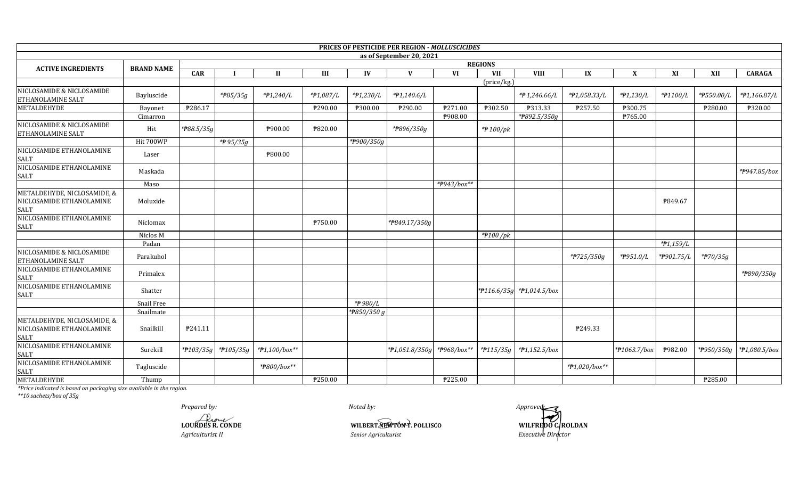|                                                                        |                   |            |                     |               |           |             | PRICES OF PESTICIDE PER REGION - MOLLUSCICIDES |                |                |                                 |                         |              |            |            |               |
|------------------------------------------------------------------------|-------------------|------------|---------------------|---------------|-----------|-------------|------------------------------------------------|----------------|----------------|---------------------------------|-------------------------|--------------|------------|------------|---------------|
|                                                                        |                   |            |                     |               |           |             | as of September 20, 2021                       |                |                |                                 |                         |              |            |            |               |
| <b>ACTIVE INGREDIENTS</b>                                              | <b>BRAND NAME</b> |            |                     |               |           |             |                                                |                | <b>REGIONS</b> |                                 |                         |              |            |            |               |
|                                                                        |                   | <b>CAR</b> |                     | $\mathbf{I}$  | III       | IV          | V                                              | VI             | VII            | <b>VIII</b>                     | $\mathbf{I} \mathbf{X}$ | X            | XI         | XII        | <b>CARAGA</b> |
| NICLOSAMIDE & NICLOSAMIDE<br>ETHANOLAMINE SALT                         | Bayluscide        |            | *#85/35g            | $*P1,240/L$   | *#1,087/L | *#1,230/L   | $*P1,140.6/L$                                  |                | (price/kg.)    | *P 1,246.66/L                   | *#1,058.33/L            | $*P1,130/L$  | *#1100/L   | *#550.00/L | *#1,166.87/L  |
| <b>METALDEHYDE</b>                                                     | Bayonet           | P286.17    |                     |               | P290.00   | ₱300.00     | ₱290.00                                        | <b>P271.00</b> | ₱302.50        | <b>P313.33</b>                  | P257.50                 | ₱300.75      |            | ₱280.00    | ₱320.00       |
|                                                                        | Cimarron          |            |                     |               |           |             |                                                | P908.00        |                | *P892.5/350g                    |                         | ₱765.00      |            |            |               |
| NICLOSAMIDE & NICLOSAMIDE<br>ETHANOLAMINE SALT                         | Hit               | *#88.5/35g |                     | P900.00       | ₱820.00   |             | *#896/350g                                     |                | *#100/pk       |                                 |                         |              |            |            |               |
|                                                                        | Hit 700WP         |            | *P95/35g            |               |           | *P900/350g  |                                                |                |                |                                 |                         |              |            |            |               |
| NICLOSAMIDE ETHANOLAMINE<br><b>SALT</b>                                | Laser             |            |                     | ₱800.00       |           |             |                                                |                |                |                                 |                         |              |            |            |               |
| NICLOSAMIDE ETHANOLAMINE<br><b>SALT</b>                                | Maskada           |            |                     |               |           |             |                                                |                |                |                                 |                         |              |            |            | *P947.85/box  |
|                                                                        | Maso              |            |                     |               |           |             |                                                | *#943/box**    |                |                                 |                         |              |            |            |               |
| METALDEHYDE, NICLOSAMIDE, &<br>NICLOSAMIDE ETHANOLAMINE<br>SALT        | Moluxide          |            |                     |               |           |             |                                                |                |                |                                 |                         |              | P849.67    |            |               |
| NICLOSAMIDE ETHANOLAMINE<br><b>SALT</b>                                | Niclomax          |            |                     |               | ₱750.00   |             | *P849.17/350g                                  |                |                |                                 |                         |              |            |            |               |
|                                                                        | Niclos M          |            |                     |               |           |             |                                                |                | $*$ P100 /pk   |                                 |                         |              |            |            |               |
|                                                                        | Padan             |            |                     |               |           |             |                                                |                |                |                                 |                         |              | *#1,159/L  |            |               |
| NICLOSAMIDE & NICLOSAMIDE<br>ETHANOLAMINE SALT                         | Parakuhol         |            |                     |               |           |             |                                                |                |                |                                 | *#725/350g              | *#951.0/L    | *P901.75/L | *#70/35g   |               |
| NICLOSAMIDE ETHANOLAMINE<br><b>SALT</b>                                | Primalex          |            |                     |               |           |             |                                                |                |                |                                 |                         |              |            |            | *#890/350g    |
| NICLOSAMIDE ETHANOLAMINE<br><b>SALT</b>                                | Shatter           |            |                     |               |           |             |                                                |                |                | * $f116.6/35g$ * $f1,014.5/box$ |                         |              |            |            |               |
|                                                                        | Snail Free        |            |                     |               |           | *#980/L     |                                                |                |                |                                 |                         |              |            |            |               |
|                                                                        | Snailmate         |            |                     |               |           | *P850/350 g |                                                |                |                |                                 |                         |              |            |            |               |
| METALDEHYDE, NICLOSAMIDE, &<br>NICLOSAMIDE ETHANOLAMINE<br><b>SALT</b> | Snailkill         | P241.11    |                     |               |           |             |                                                |                |                |                                 | P249.33                 |              |            |            |               |
| NICLOSAMIDE ETHANOLAMINE<br><b>SALT</b>                                | Surekill          |            | *#103/35g *#105/35g | *#1,100/box** |           |             | *P1,051.8/350g                                 | *#968/box**    |                | *#115/35g   *#1,152.5/box       |                         | *#1063.7/box | ₱982.00    | *#950/350g | *#1,080.5/box |
| NICLOSAMIDE ETHANOLAMINE<br><b>SALT</b>                                | Tagluscide        |            |                     | *#800/box**   |           |             |                                                |                |                |                                 | *#1,020/box**           |              |            |            |               |
| METALDEHYDE                                                            | Thump             |            |                     |               | ₱250.00   |             |                                                | ₱225.00        |                |                                 |                         |              |            | ₱285.00    |               |

*\*\*10 sachets/box of 35g*

*Noted by:*

**LOURDES R. CONDE WILBERT NEWTON T.** POLLISCO *Agriculturist II Senior Agriculturist*